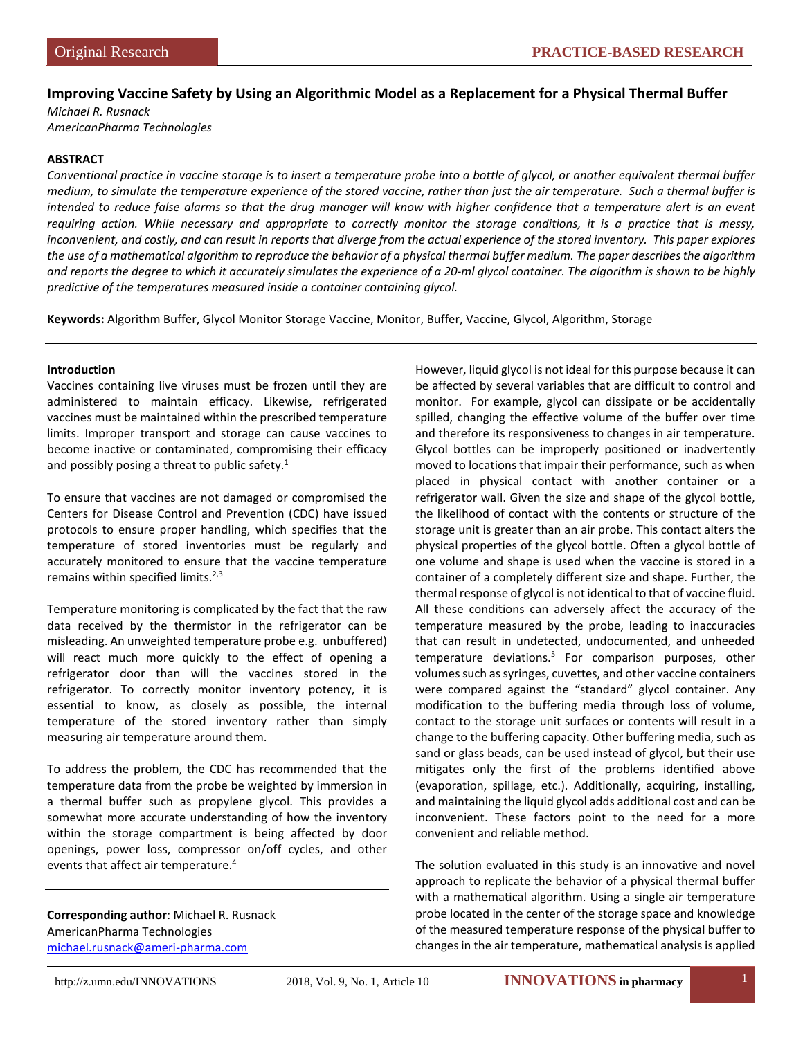# **Improving Vaccine Safety by Using an Algorithmic Model as a Replacement for a Physical Thermal Buffer**

*Michael R. Rusnack AmericanPharma Technologies*

### **ABSTRACT**

*Conventional practice in vaccine storage is to insert a temperature probe into a bottle of glycol, or another equivalent thermal buffer medium, to simulate the temperature experience of the stored vaccine, rather than just the air temperature. Such a thermal buffer is*  intended to reduce false alarms so that the drug manager will know with higher confidence that a temperature alert is an event *requiring action. While necessary and appropriate to correctly monitor the storage conditions, it is a practice that is messy, inconvenient, and costly, and can result in reports that diverge from the actual experience of the stored inventory. This paper explores the use of a mathematical algorithm to reproduce the behavior of a physical thermal buffer medium. The paper describes the algorithm and reports the degree to which it accurately simulates the experience of a 20-ml glycol container. The algorithm is shown to be highly predictive of the temperatures measured inside a container containing glycol.*

**Keywords:** Algorithm Buffer, Glycol Monitor Storage Vaccine, Monitor, Buffer, Vaccine, Glycol, Algorithm, Storage

#### **Introduction**

Vaccines containing live viruses must be frozen until they are administered to maintain efficacy. Likewise, refrigerated vaccines must be maintained within the prescribed temperature limits. Improper transport and storage can cause vaccines to become inactive or contaminated, compromising their efficacy and possibly posing a threat to public safety. $1$ 

To ensure that vaccines are not damaged or compromised the Centers for Disease Control and Prevention (CDC) have issued protocols to ensure proper handling, which specifies that the temperature of stored inventories must be regularly and accurately monitored to ensure that the vaccine temperature remains within specified limits. $2,3$ 

Temperature monitoring is complicated by the fact that the raw data received by the thermistor in the refrigerator can be misleading. An unweighted temperature probe e.g. unbuffered) will react much more quickly to the effect of opening a refrigerator door than will the vaccines stored in the refrigerator. To correctly monitor inventory potency, it is essential to know, as closely as possible, the internal temperature of the stored inventory rather than simply measuring air temperature around them.

To address the problem, the CDC has recommended that the temperature data from the probe be weighted by immersion in a thermal buffer such as propylene glycol. This provides a somewhat more accurate understanding of how the inventory within the storage compartment is being affected by door openings, power loss, compressor on/off cycles, and other events that affect air temperature.4

**Corresponding author**: Michael R. Rusnack AmericanPharma Technologies [michael.rusnack@ameri-pharma.com](mailto:michael.rusnack@ameri-pharma.com)

However, liquid glycol is not ideal for this purpose because it can be affected by several variables that are difficult to control and monitor. For example, glycol can dissipate or be accidentally spilled, changing the effective volume of the buffer over time and therefore its responsiveness to changes in air temperature. Glycol bottles can be improperly positioned or inadvertently moved to locations that impair their performance, such as when placed in physical contact with another container or a refrigerator wall. Given the size and shape of the glycol bottle, the likelihood of contact with the contents or structure of the storage unit is greater than an air probe. This contact alters the physical properties of the glycol bottle. Often a glycol bottle of one volume and shape is used when the vaccine is stored in a container of a completely different size and shape. Further, the thermal response of glycol is not identical to that of vaccine fluid. All these conditions can adversely affect the accuracy of the temperature measured by the probe, leading to inaccuracies that can result in undetected, undocumented, and unheeded temperature deviations.5 For comparison purposes, other volumes such as syringes, cuvettes, and other vaccine containers were compared against the "standard" glycol container. Any modification to the buffering media through loss of volume, contact to the storage unit surfaces or contents will result in a change to the buffering capacity. Other buffering media, such as sand or glass beads, can be used instead of glycol, but their use mitigates only the first of the problems identified above (evaporation, spillage, etc.). Additionally, acquiring, installing, and maintaining the liquid glycol adds additional cost and can be inconvenient. These factors point to the need for a more convenient and reliable method.

The solution evaluated in this study is an innovative and novel approach to replicate the behavior of a physical thermal buffer with a mathematical algorithm. Using a single air temperature probe located in the center of the storage space and knowledge of the measured temperature response of the physical buffer to changes in the air temperature, mathematical analysis is applied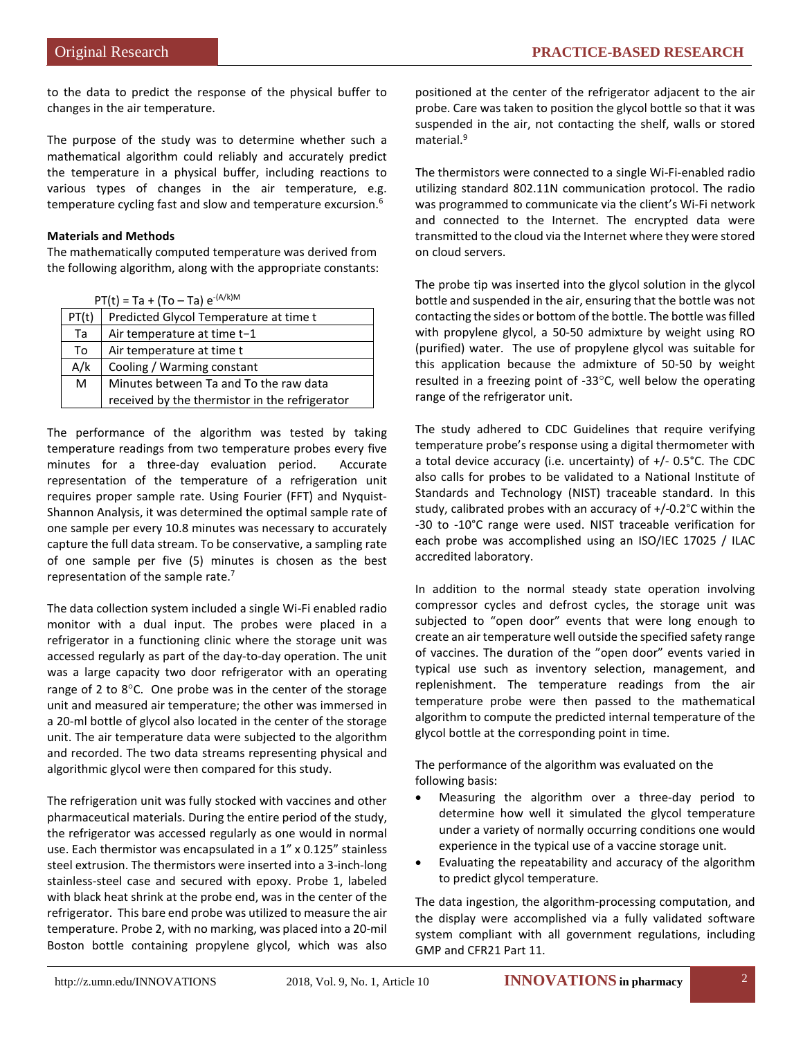to the data to predict the response of the physical buffer to changes in the air temperature.

The purpose of the study was to determine whether such a mathematical algorithm could reliably and accurately predict the temperature in a physical buffer, including reactions to various types of changes in the air temperature, e.g. temperature cycling fast and slow and temperature excursion.6

# **Materials and Methods**

The mathematically computed temperature was derived from the following algorithm, along with the appropriate constants:

|  |  | $PT(t) = Ta + (To - Ta) e^{-(A/k)M}$ |
|--|--|--------------------------------------|
|--|--|--------------------------------------|

| .     |                                                |  |
|-------|------------------------------------------------|--|
| PT(t) | Predicted Glycol Temperature at time t         |  |
| Ta    | Air temperature at time t-1                    |  |
| To    | Air temperature at time t                      |  |
| A/k   | Cooling / Warming constant                     |  |
| M     | Minutes between Ta and To the raw data         |  |
|       | received by the thermistor in the refrigerator |  |

The performance of the algorithm was tested by taking temperature readings from two temperature probes every five minutes for a three-day evaluation period. Accurate representation of the temperature of a refrigeration unit requires proper sample rate. Using Fourier (FFT) and Nyquist-Shannon Analysis, it was determined the optimal sample rate of one sample per every 10.8 minutes was necessary to accurately capture the full data stream. To be conservative, a sampling rate of one sample per five (5) minutes is chosen as the best representation of the sample rate.<sup>7</sup>

The data collection system included a single Wi-Fi enabled radio monitor with a dual input. The probes were placed in a refrigerator in a functioning clinic where the storage unit was accessed regularly as part of the day-to-day operation. The unit was a large capacity two door refrigerator with an operating range of 2 to 8°C. One probe was in the center of the storage unit and measured air temperature; the other was immersed in a 20-ml bottle of glycol also located in the center of the storage unit. The air temperature data were subjected to the algorithm and recorded. The two data streams representing physical and algorithmic glycol were then compared for this study.

The refrigeration unit was fully stocked with vaccines and other pharmaceutical materials. During the entire period of the study, the refrigerator was accessed regularly as one would in normal use. Each thermistor was encapsulated in a 1" x 0.125" stainless steel extrusion. The thermistors were inserted into a 3-inch-long stainless-steel case and secured with epoxy. Probe 1, labeled with black heat shrink at the probe end, was in the center of the refrigerator. This bare end probe was utilized to measure the air temperature. Probe 2, with no marking, was placed into a 20-mil Boston bottle containing propylene glycol, which was also

positioned at the center of the refrigerator adjacent to the air probe. Care was taken to position the glycol bottle so that it was suspended in the air, not contacting the shelf, walls or stored material.<sup>9</sup>

The thermistors were connected to a single Wi-Fi-enabled radio utilizing standard 802.11N communication protocol. The radio was programmed to communicate via the client's Wi-Fi network and connected to the Internet. The encrypted data were transmitted to the cloud via the Internet where they were stored on cloud servers.

The probe tip was inserted into the glycol solution in the glycol bottle and suspended in the air, ensuring that the bottle was not contacting the sides or bottom of the bottle. The bottle was filled with propylene glycol, a 50-50 admixture by weight using RO (purified) water. The use of propylene glycol was suitable for this application because the admixture of 50-50 by weight resulted in a freezing point of -33°C, well below the operating range of the refrigerator unit.

The study adhered to CDC Guidelines that require verifying temperature probe's response using a digital thermometer with a total device accuracy (i.e. uncertainty) of +/- 0.5°C. The CDC also calls for probes to be validated to a National Institute of Standards and Technology (NIST) traceable standard. In this study, calibrated probes with an accuracy of +/-0.2°C within the -30 to -10°C range were used. NIST traceable verification for each probe was accomplished using an ISO/IEC 17025 / ILAC accredited laboratory.

In addition to the normal steady state operation involving compressor cycles and defrost cycles, the storage unit was subjected to "open door" events that were long enough to create an air temperature well outside the specified safety range of vaccines. The duration of the "open door" events varied in typical use such as inventory selection, management, and replenishment. The temperature readings from the air temperature probe were then passed to the mathematical algorithm to compute the predicted internal temperature of the glycol bottle at the corresponding point in time.

The performance of the algorithm was evaluated on the following basis:

- Measuring the algorithm over a three-day period to determine how well it simulated the glycol temperature under a variety of normally occurring conditions one would experience in the typical use of a vaccine storage unit.
- Evaluating the repeatability and accuracy of the algorithm to predict glycol temperature.

The data ingestion, the algorithm-processing computation, and the display were accomplished via a fully validated software system compliant with all government regulations, including GMP and CFR21 Part 11.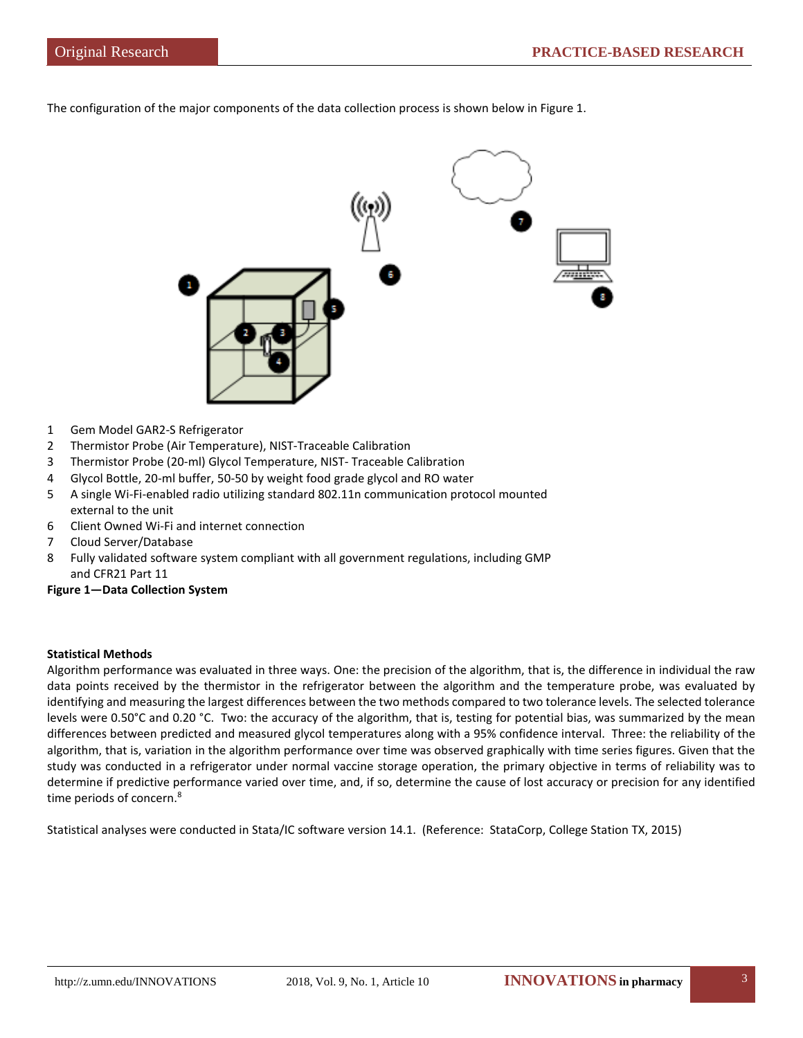The configuration of the major components of the data collection process is shown below in Figure 1.



- 1 Gem Model GAR2-S Refrigerator
- 2 Thermistor Probe (Air Temperature), NIST-Traceable Calibration
- 3 Thermistor Probe (20-ml) Glycol Temperature, NIST- Traceable Calibration
- 4 Glycol Bottle, 20-ml buffer, 50-50 by weight food grade glycol and RO water
- 5 A single Wi-Fi-enabled radio utilizing standard 802.11n communication protocol mounted external to the unit
- 6 Client Owned Wi-Fi and internet connection
- 7 Cloud Server/Database
- 8 Fully validated software system compliant with all government regulations, including GMP and CFR21 Part 11

#### **Figure 1—Data Collection System**

# **Statistical Methods**

Algorithm performance was evaluated in three ways. One: the precision of the algorithm, that is, the difference in individual the raw data points received by the thermistor in the refrigerator between the algorithm and the temperature probe, was evaluated by identifying and measuring the largest differences between the two methods compared to two tolerance levels. The selected tolerance levels were 0.50°C and 0.20 °C. Two: the accuracy of the algorithm, that is, testing for potential bias, was summarized by the mean differences between predicted and measured glycol temperatures along with a 95% confidence interval. Three: the reliability of the algorithm, that is, variation in the algorithm performance over time was observed graphically with time series figures. Given that the study was conducted in a refrigerator under normal vaccine storage operation, the primary objective in terms of reliability was to determine if predictive performance varied over time, and, if so, determine the cause of lost accuracy or precision for any identified time periods of concern.<sup>8</sup>

Statistical analyses were conducted in Stata/IC software version 14.1. (Reference: StataCorp, College Station TX, 2015)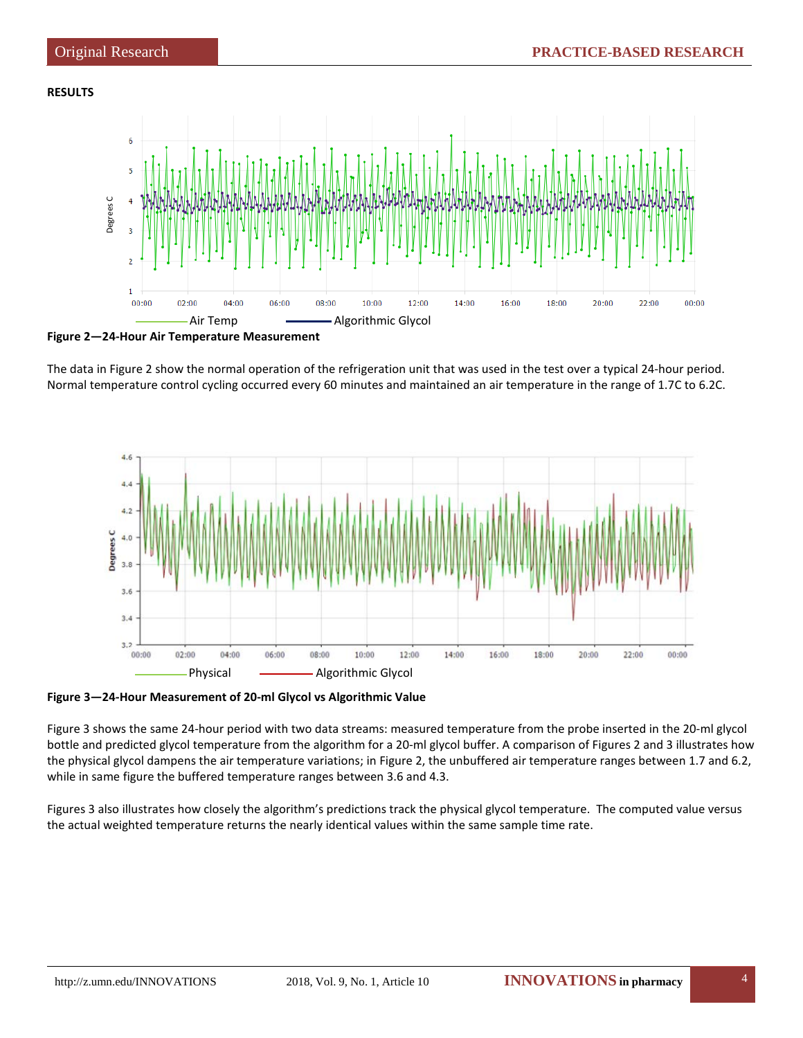## **RESULTS**



**Figure 2—24-Hour Air Temperature Measurement**

The data in Figure 2 show the normal operation of the refrigeration unit that was used in the test over a typical 24-hour period. Normal temperature control cycling occurred every 60 minutes and maintained an air temperature in the range of 1.7C to 6.2C.



**Figure 3—24-Hour Measurement of 20-ml Glycol vs Algorithmic Value**

Figure 3 shows the same 24-hour period with two data streams: measured temperature from the probe inserted in the 20-ml glycol bottle and predicted glycol temperature from the algorithm for a 20-ml glycol buffer. A comparison of Figures 2 and 3 illustrates how the physical glycol dampens the air temperature variations; in Figure 2, the unbuffered air temperature ranges between 1.7 and 6.2, while in same figure the buffered temperature ranges between 3.6 and 4.3.

Figures 3 also illustrates how closely the algorithm's predictions track the physical glycol temperature. The computed value versus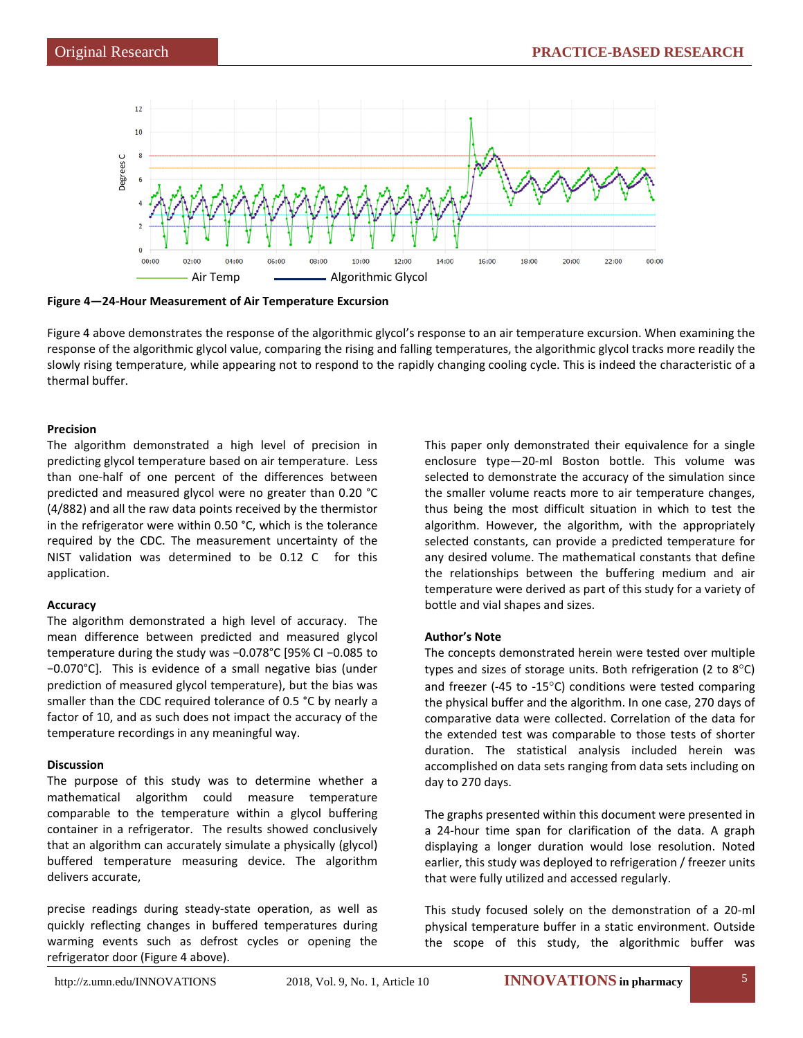

**Figure 4—24-Hour Measurement of Air Temperature Excursion** 

Figure 4 above demonstrates the response of the algorithmic glycol's response to an air temperature excursion. When examining the response of the algorithmic glycol value, comparing the rising and falling temperatures, the algorithmic glycol tracks more readily the slowly rising temperature, while appearing not to respond to the rapidly changing cooling cycle. This is indeed the characteristic of a thermal buffer.

## **Precision**

The algorithm demonstrated a high level of precision in predicting glycol temperature based on air temperature. Less than one-half of one percent of the differences between predicted and measured glycol were no greater than 0.20 °C (4/882) and all the raw data points received by the thermistor in the refrigerator were within 0.50 °C, which is the tolerance required by the CDC. The measurement uncertainty of the NIST validation was determined to be 0.12 C for this application.

# **Accuracy**

The algorithm demonstrated a high level of accuracy. The mean difference between predicted and measured glycol temperature during the study was −0.078°C [95% CI −0.085 to −0.070°C]. This is evidence of a small negative bias (under prediction of measured glycol temperature), but the bias was smaller than the CDC required tolerance of 0.5 °C by nearly a factor of 10, and as such does not impact the accuracy of the temperature recordings in any meaningful way.

# **Discussion**

The purpose of this study was to determine whether a mathematical algorithm could measure temperature comparable to the temperature within a glycol buffering container in a refrigerator. The results showed conclusively that an algorithm can accurately simulate a physically (glycol) buffered temperature measuring device. The algorithm delivers accurate,

precise readings during steady-state operation, as well as quickly reflecting changes in buffered temperatures during warming events such as defrost cycles or opening the refrigerator door (Figure 4 above).

This paper only demonstrated their equivalence for a single enclosure type—20-ml Boston bottle. This volume was selected to demonstrate the accuracy of the simulation since the smaller volume reacts more to air temperature changes, thus being the most difficult situation in which to test the algorithm. However, the algorithm, with the appropriately selected constants, can provide a predicted temperature for any desired volume. The mathematical constants that define the relationships between the buffering medium and air temperature were derived as part of this study for a variety of bottle and vial shapes and sizes.

# **Author's Note**

The concepts demonstrated herein were tested over multiple types and sizes of storage units. Both refrigeration (2 to  $8^{\circ}$ C) and freezer (-45 to -15°C) conditions were tested comparing the physical buffer and the algorithm. In one case, 270 days of comparative data were collected. Correlation of the data for the extended test was comparable to those tests of shorter duration. The statistical analysis included herein was accomplished on data sets ranging from data sets including on day to 270 days.

The graphs presented within this document were presented in a 24-hour time span for clarification of the data. A graph displaying a longer duration would lose resolution. Noted earlier, this study was deployed to refrigeration / freezer units that were fully utilized and accessed regularly.

This study focused solely on the demonstration of a 20-ml physical temperature buffer in a static environment. Outside the scope of this study, the algorithmic buffer was